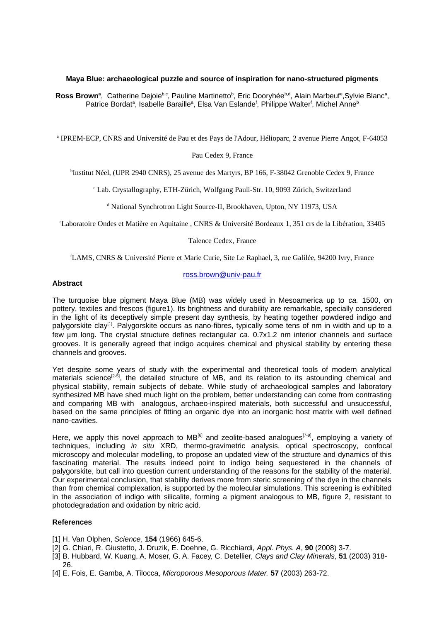# **Maya Blue: archaeological puzzle and source of inspiration for nano-structured pigments**

**Ross Brown<sup>a</sup>, Catherine Dejoie<sup>b,c</sup>, Pauline Martinetto<sup>b</sup>, Eric Dooryhée<sup>b,d</sup>, Alain Marbeuf<sup>e</sup>,Sylvie Blanc<sup>a</sup>,** Patrice Bordat<sup>a</sup>, Isabelle Baraille<sup>a</sup>, Elsa Van Eslande<sup>r</sup>, Philippe Walter<sup>r</sup>, Michel Anne<sup>b</sup>

a IPREM-ECP, CNRS and Université de Pau et des Pays de l'Adour, Hélioparc, 2 avenue Pierre Angot, F-64053

### Pau Cedex 9, France

b Institut Néel, (UPR 2940 CNRS), 25 avenue des Martyrs, BP 166, F-38042 Grenoble Cedex 9, France

c Lab. Crystallography, ETH-Zürich, Wolfgang Pauli-Str. 10, 9093 Zürich, Switzerland

<sup>d</sup> National Synchrotron Light Source-II, Brookhaven, Upton, NY 11973, USA

<sup>e</sup>Laboratoire Ondes et Matière en Aquitaine , CNRS & Université Bordeaux 1, 351 crs de la Libération, 33405

### Talence Cedex, France

<sup>f</sup>LAMS, CNRS & Université Pierre et Marie Curie, Site Le Raphael, 3, rue Galilée, 94200 Ivry, France

### **Abstract**

#### ross.brown@univ-pau.fr

The turquoise blue pigment Maya Blue (MB) was widely used in Mesoamerica up to *ca.* 1500, on pottery, textiles and frescos (figure1). Its brightness and durability are remarkable, specially considered in the light of its deceptively simple present day synthesis, by heating together powdered indigo and palygorskite clay<sup>[1]</sup>. Palygorskite occurs as nano-fibres, typically some tens of nm in width and up to a few um long. The crystal structure defines rectangular *ca.* 0.7x1.2 nm interior channels and surface grooves. It is generally agreed that indigo acquires chemical and physical stability by entering these channels and grooves.

Yet despite some years of study with the experimental and theoretical tools of modern analytical materials science<sup>[2-5]</sup>, the detailed structure of MB, and its relation to its astounding chemical and physical stability, remain subjects of debate. While study of archaeological samples and laboratory synthesized MB have shed much light on the problem, better understanding can come from contrasting and comparing MB with analogous, archaeo-inspired materials, both successful and unsuccessful, based on the same principles of fitting an organic dye into an inorganic host matrix with well defined nano-cavities.

Here, we apply this novel approach to MB<sup>[6]</sup> and zeolite-based analogues<sup>[7-9]</sup>, employing a variety of techniques, including *in situ* XRD, thermo-gravimetric analysis, optical spectroscopy, confocal microscopy and molecular modelling, to propose an updated view of the structure and dynamics of this fascinating material. The results indeed point to indigo being sequestered in the channels of palygorskite, but call into question current understanding of the reasons for the stability of the material. Our experimental conclusion, that stability derives more from steric screening of the dye in the channels than from chemical complexation, is supported by the molecular simulations. This screening is exhibited in the association of indigo with silicalite, forming a pigment analogous to MB, figure 2, resistant to photodegradation and oxidation by nitric acid.

# **References**

- [1] H. Van Olphen, *Science*, **154** (1966) 645-6.
- [2] G. Chiari, R. Giustetto, J. Druzik, E. Doehne, G. Ricchiardi, *Appl. Phys. A*, **90** (2008) 3-7.
- [3] B. Hubbard, W. Kuang, A. Moser, G. A. Facey, C. Detellier, *Clays and Clay Minerals*, **51** (2003) 318- 26.
- [4] E. Fois, E. Gamba, A. Tilocca, *Microporous Mesoporous Mater.* **57** (2003) 263-72.